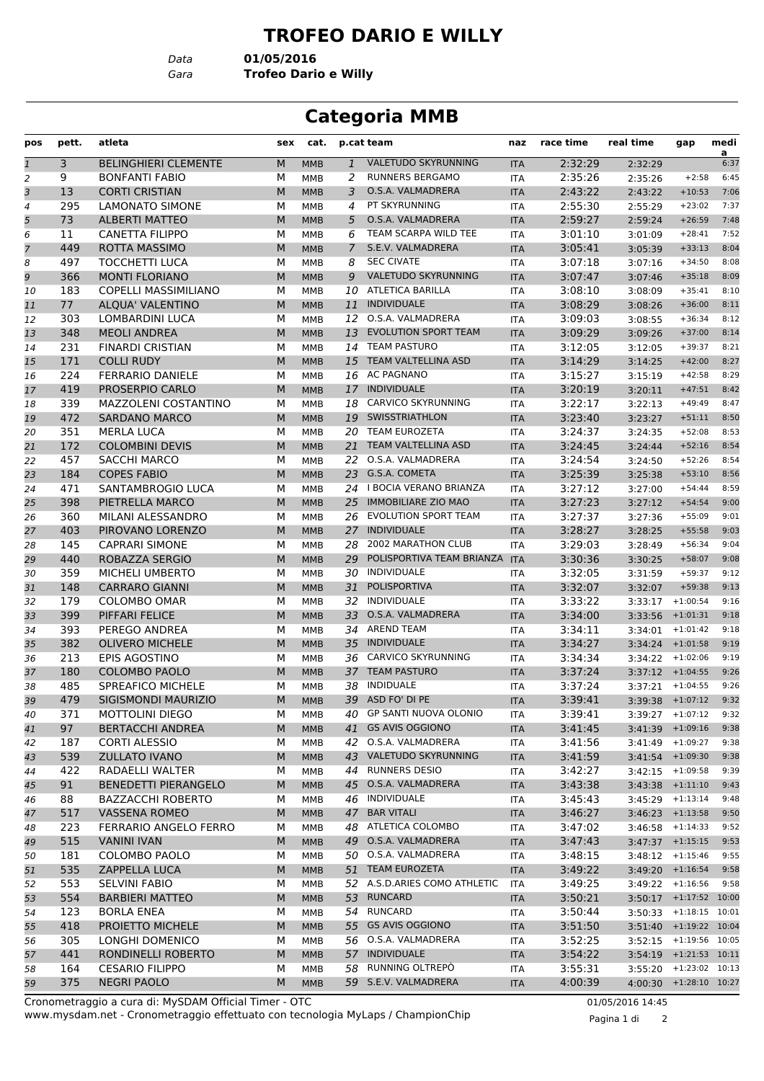## **TROFEO DARIO E WILLY**

*Data* **01/05/2016**

*Gara* **Trofeo Dario e Willy**

## **Categoria MMB**

| pos            | pett. | atleta                       | sex | cat.       |              | p.cat team                   | naz        | race time | real time          | gap                      | medi<br>$\overline{a}$ |
|----------------|-------|------------------------------|-----|------------|--------------|------------------------------|------------|-----------|--------------------|--------------------------|------------------------|
| $\mathbf{1}$   | 3     | <b>BELINGHIERI CLEMENTE</b>  | M   | <b>MMB</b> | $\mathbf{1}$ | VALETUDO SKYRUNNING          | <b>ITA</b> | 2:32:29   | 2:32:29            |                          | 6:37                   |
| $\overline{2}$ | 9     | <b>BONFANTI FABIO</b>        | М   | <b>MMB</b> | 2            | <b>RUNNERS BERGAMO</b>       | <b>ITA</b> | 2:35:26   | 2:35:26            | $+2:58$                  | 6:45                   |
| 3              | 13    | <b>CORTI CRISTIAN</b>        | M   | <b>MMB</b> | 3            | O.S.A. VALMADRERA            | <b>ITA</b> | 2:43:22   | 2:43:22            | $+10:53$                 | 7:06                   |
| $\overline{4}$ | 295   | <b>LAMONATO SIMONE</b>       | М   | <b>MMB</b> | 4            | PT SKYRUNNING                | <b>ITA</b> | 2:55:30   | 2:55:29            | $+23:02$                 | 7:37                   |
| 5              | 73    | <b>ALBERTI MATTEO</b>        | M   | <b>MMB</b> | 5            | O.S.A. VALMADRERA            | <b>ITA</b> | 2:59:27   | 2:59:24            | $+26:59$                 | 7:48                   |
| 6              | 11    | <b>CANETTA FILIPPO</b>       | М   | MMB        | 6            | TEAM SCARPA WILD TEE         | <b>ITA</b> | 3:01:10   | 3:01:09            | $+28:41$                 | 7:52                   |
| $\overline{7}$ | 449   | <b>ROTTA MASSIMO</b>         | M   | <b>MMB</b> | 7            | S.E.V. VALMADRERA            | <b>ITA</b> | 3:05:41   | 3:05:39            | $+33:13$                 | 8:04                   |
| 8              | 497   | <b>TOCCHETTI LUCA</b>        | М   | <b>MMB</b> | 8            | <b>SEC CIVATE</b>            | <b>ITA</b> | 3:07:18   | 3:07:16            | $+34:50$                 | 8:08                   |
| 9              | 366   | <b>MONTI FLORIANO</b>        | M   | <b>MMB</b> | 9            | <b>VALETUDO SKYRUNNING</b>   | <b>ITA</b> | 3:07:47   | 3:07:46            | $+35:18$                 | 8:09                   |
| 10             | 183   | <b>COPELLI MASSIMILIANO</b>  | М   | <b>MMB</b> | 10           | <b>ATLETICA BARILLA</b>      | <b>ITA</b> | 3:08:10   | 3:08:09            | $+35:41$                 | 8:10                   |
| 11             | 77    | ALQUA' VALENTINO             | M   | <b>MMB</b> | 11           | <b>INDIVIDUALE</b>           | <b>ITA</b> | 3:08:29   | 3:08:26            | $+36:00$                 | 8:11                   |
| 12             | 303   | LOMBARDINI LUCA              | М   | <b>MMB</b> | 12           | O.S.A. VALMADRERA            | <b>ITA</b> | 3:09:03   | 3:08:55            | $+36:34$                 | 8:12                   |
| 13             | 348   | <b>MEOLI ANDREA</b>          | M   | <b>MMB</b> | 13           | EVOLUTION SPORT TEAM         | <b>ITA</b> | 3:09:29   | 3:09:26            | $+37:00$                 | 8:14                   |
| 14             | 231   | <b>FINARDI CRISTIAN</b>      | м   | <b>MMB</b> | 14           | <b>TEAM PASTURO</b>          | <b>ITA</b> | 3:12:05   | 3:12:05            | $+39:37$                 | 8:21                   |
| 15             | 171   | <b>COLLI RUDY</b>            | M   | <b>MMB</b> |              | 15 TEAM VALTELLINA ASD       | <b>ITA</b> | 3:14:29   | 3:14:25            | $+42:00$                 | 8:27                   |
| 16             | 224   | <b>FERRARIO DANIELE</b>      | М   | <b>MMB</b> |              | 16 AC PAGNANO                | <b>ITA</b> | 3:15:27   | 3:15:19            | $+42:58$                 | 8:29                   |
| 17             | 419   | PROSERPIO CARLO              | M   | <b>MMB</b> | 17           | <b>INDIVIDUALE</b>           | <b>ITA</b> | 3:20:19   | 3:20:11            | $+47:51$                 | 8:42                   |
| 18             | 339   | MAZZOLENI COSTANTINO         | М   | MMB        | 18           | CARVICO SKYRUNNING           | <b>ITA</b> | 3:22:17   | 3:22:13            | $+49:49$                 | 8:47                   |
| 19             | 472   | <b>SARDANO MARCO</b>         | M   | <b>MMB</b> | 19           | <b>SWISSTRIATHLON</b>        | <b>ITA</b> | 3:23:40   | 3:23:27            | $+51:11$                 | 8:50                   |
| 20             | 351   | <b>MERLA LUCA</b>            | M   | <b>MMB</b> |              | 20 TEAM EUROZETA             | <b>ITA</b> | 3:24:37   | 3:24:35            | $+52:08$                 | 8:53                   |
| 21             | 172   | <b>COLOMBINI DEVIS</b>       | M   | <b>MMB</b> |              | 21 TEAM VALTELLINA ASD       | <b>ITA</b> | 3:24:45   | 3:24:44            | $+52:16$                 | 8:54                   |
| 22             | 457   | <b>SACCHI MARCO</b>          | М   | <b>MMB</b> | 22           | O.S.A. VALMADRERA            | <b>ITA</b> | 3:24:54   | 3:24:50            | $+52:26$                 | 8:54                   |
| 23             | 184   | <b>COPES FABIO</b>           | M   | <b>MMB</b> | 23           | G.S.A. COMETA                | <b>ITA</b> | 3:25:39   | 3:25:38            | $+53:10$                 | 8:56                   |
| 24             | 471   | SANTAMBROGIO LUCA            | М   | <b>MMB</b> |              | 24   BOCIA VERANO BRIANZA    | <b>ITA</b> | 3:27:12   | 3:27:00            | $+54:44$                 | 8:59                   |
| 25             | 398   | PIETRELLA MARCO              | M   | <b>MMB</b> | 25           | <b>IMMOBILIARE ZIO MAO</b>   | <b>ITA</b> | 3:27:23   | 3:27:12            | $+54:54$                 | 9:00                   |
| 26             | 360   | MILANI ALESSANDRO            | м   | <b>MMB</b> | 26           | EVOLUTION SPORT TEAM         | <b>ITA</b> | 3:27:37   | 3:27:36            | $+55:09$                 | 9:01                   |
| 27             | 403   | PIROVANO LORENZO             | M   | <b>MMB</b> |              | 27 INDIVIDUALE               | <b>ITA</b> | 3:28:27   | 3:28:25            | $+55:58$                 | 9:03                   |
| 28             | 145   | <b>CAPRARI SIMONE</b>        | М   | <b>MMB</b> | 28           | 2002 MARATHON CLUB           | <b>ITA</b> | 3:29:03   | 3:28:49            | $+56:34$                 | 9:04                   |
| 29             | 440   | ROBAZZA SERGIO               | M   | <b>MMB</b> | 29           | POLISPORTIVA TEAM BRIANZA    | <b>ITA</b> | 3:30:36   | 3:30:25            | $+58:07$                 | 9:08                   |
| 30             | 359   | <b>MICHELI UMBERTO</b>       | М   | MMB        | 30           | INDIVIDUALE                  | <b>ITA</b> | 3:32:05   | 3:31:59            | $+59:37$                 | 9:12                   |
| 31             | 148   | <b>CARRARO GIANNI</b>        | M   | <b>MMB</b> | 31           | POLISPORTIVA                 | <b>ITA</b> | 3:32:07   | 3:32:07            | $+59:38$                 | 9:13                   |
| 32             | 179   | COLOMBO OMAR                 | M   | <b>MMB</b> | 32           | INDIVIDUALE                  | <b>ITA</b> | 3:33:22   | 3:33:17            | $+1:00:54$               | 9:16                   |
| 33             | 399   | PIFFARI FELICE               | M   | <b>MMB</b> | 33           | O.S.A. VALMADRERA            | <b>ITA</b> | 3:34:00   | 3:33:56            | $+1:01:31$               | 9:18                   |
| 34             | 393   | PEREGO ANDREA                | М   | <b>MMB</b> | 34           | <b>AREND TEAM</b>            | <b>ITA</b> | 3:34:11   | 3:34:01            | $+1:01:42$               | 9:18                   |
| 35             | 382   | <b>OLIVERO MICHELE</b>       | M   | <b>MMB</b> | 35           | <b>INDIVIDUALE</b>           | <b>ITA</b> | 3:34:27   | 3:34:24            | $+1:01:58$               | 9:19                   |
| 36             | 213   | <b>EPIS AGOSTINO</b>         | М   | MMB        | 36           | CARVICO SKYRUNNING           | <b>ITA</b> | 3:34:34   | 3:34:22            | $+1:02:06$               | 9:19                   |
| 37             | 180   | <b>COLOMBO PAOLO</b>         | M   | <b>MMB</b> |              | 37 TEAM PASTURO              | <b>ITA</b> | 3:37:24   |                    | $3:37:12$ +1:04:55       | 9:26                   |
| 38             | 485   | <b>SPREAFICO MICHELE</b>     | M   | MMB        | 38           | <b>INDIDUALE</b>             | <b>ITA</b> | 3:37:24   | 3:37:21            | $+1:04:55$               | 9:26                   |
| 39             | 479   | SIGISMONDI MAURIZIO          | M   | <b>MMB</b> | 39           | ASD FO' DI PE                | <b>ITA</b> | 3:39:41   |                    | $3:39:38$ +1:07:12       | 9:32                   |
| 40             | 371   | <b>MOTTOLINI DIEGO</b>       | М   | MMB        |              | 40 GP SANTI NUOVA OLONIO     | ITA        | 3:39:41   |                    | $3:39:27 + 1:07:12$      | 9:32                   |
| 41             | 97    | <b>BERTACCHI ANDREA</b>      | M   | <b>MMB</b> | 41           | <b>GS AVIS OGGIONO</b>       | <b>ITA</b> | 3:41:45   |                    | $3:41:39$ +1:09:16       | 9:38                   |
| 42             | 187   | <b>CORTI ALESSIO</b>         | М   | MMB        |              | 42 O.S.A. VALMADRERA         | ITA        | 3:41:56   |                    | $3:41:49$ +1:09:27       | 9:38                   |
| 43             | 539   | <b>ZULLATO IVANO</b>         | M   | <b>MMB</b> |              | 43 VALETUDO SKYRUNNING       | <b>ITA</b> | 3:41:59   |                    | $3:41:54$ +1:09:30       | 9:38                   |
| 44             | 422   | RADAELLI WALTER              | М   | MMB        | 44           | <b>RUNNERS DESIO</b>         | ITA        | 3:42:27   |                    | $3:42:15$ +1:09:58       | 9:39                   |
| 45             | 91    | <b>BENEDETTI PIERANGELO</b>  | M   | <b>MMB</b> |              | 45 O.S.A. VALMADRERA         | <b>ITA</b> | 3:43:38   | $3:43:38$ +1:11:10 |                          | 9:43                   |
| 46             | 88    | <b>BAZZACCHI ROBERTO</b>     | М   | MMB        |              | 46 INDIVIDUALE               | ITA        | 3:45:43   | $3:45:29$ +1:13:14 |                          | 9:48                   |
| 47             | 517   | <b>VASSENA ROMEO</b>         | M   | <b>MMB</b> | 47           | <b>BAR VITALI</b>            | <b>ITA</b> | 3:46:27   | 3:46:23            | $+1:13:58$               | 9:50                   |
| 48             | 223   | <b>FERRARIO ANGELO FERRO</b> | М   | MMB        |              | 48 ATLETICA COLOMBO          | ITA        | 3:47:02   |                    | $3:46:58$ +1:14:33       | 9:52                   |
| 49             | 515   | <b>VANINI IVAN</b>           | M   | <b>MMB</b> | 49           | O.S.A. VALMADRERA            | <b>ITA</b> | 3:47:43   |                    | $3:47:37$ +1:15:15       | 9:53                   |
| 50             | 181   | COLOMBO PAOLO                | М   | MMB        |              | 50 O.S.A. VALMADRERA         | ITA        | 3:48:15   |                    | $3:48:12$ +1:15:46       | 9:55                   |
| 51             | 535   | ZAPPELLA LUCA                | M   | <b>MMB</b> |              | 51 TEAM EUROZETA             | <b>ITA</b> | 3:49:22   |                    | $3:49:20$ +1:16:54       | 9:58                   |
| 52             | 553   | <b>SELVINI FABIO</b>         | М   | MMB        |              | 52 A.S.D.ARIES COMO ATHLETIC | ITA        | 3:49:25   |                    | $3:49:22 + 1:16:56$      | 9:58                   |
| 53             | 554   | <b>BARBIERI MATTEO</b>       | M   | <b>MMB</b> | 53           | <b>RUNCARD</b>               | <b>ITA</b> | 3:50:21   | 3:50:17            | $+1:17:52$ 10:00         |                        |
| 54             | 123   | <b>BORLA ENEA</b>            | М   | MMB        |              | 54 RUNCARD                   | ITA        | 3:50:44   |                    | 3:50:33 +1:18:15 10:01   |                        |
| 55             | 418   | PROIETTO MICHELE             | M   | <b>MMB</b> |              | 55 GS AVIS OGGIONO           | <b>ITA</b> | 3:51:50   |                    | 3:51:40 +1:19:22 10:04   |                        |
| 56             | 305   | LONGHI DOMENICO              | M   | MMB        |              | 56 O.S.A. VALMADRERA         | ITA        | 3:52:25   |                    | $3:52:15$ +1:19:56 10:05 |                        |
| 57             | 441   | RONDINELLI ROBERTO           | M   | <b>MMB</b> |              | 57 INDIVIDUALE               | <b>ITA</b> | 3:54:22   |                    | $3:54:19$ +1:21:53 10:11 |                        |
| 58             | 164   | <b>CESARIO FILIPPO</b>       | М   | MMB        | 58           | RUNNING OLTREPO              | ITA        | 3:55:31   | 3:55:20            | $+1:23:02$ 10:13         |                        |
| 59             | 375   | <b>NEGRI PAOLO</b>           | M   | <b>MMB</b> |              | 59 S.E.V. VALMADRERA         | <b>ITA</b> | 4:00:39   |                    | 4:00:30 +1:28:10 10:27   |                        |

www.mysdam.net - Cronometraggio effettuato con tecnologia MyLaps / ChampionChip Cronometraggio a cura di: MySDAM Official Timer - OTC 01/05/2016 14:45

Pagina 1 di 2